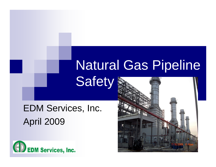# Natural Gas Pipeline **Safety**

# EDM Services, Inc. April 2009



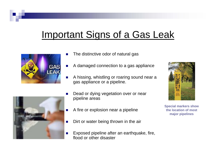## Important Signs of a Gas Leak



- L The distinctive odor of natural gas
- r. A damaged connection to a gas appliance
- r. A hissing, whistling or roaring sound near a gas appliance or a pipeline.
- Dead or dying vegetation over or near pipeline areas
- A fire or explosion near a pipeline
- Dirt or water being thrown in the air
- Exposed pipeline after an earthquake, fire, flood or other disaster





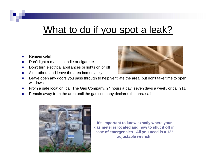### What to do if you spot a leak?

- T. Remain calm
- $\overline{\phantom{a}}$ Don't light a match, candle or cigarette
- $\mathcal{L}_{\mathcal{A}}$ Don't turn electrical appliances or lights on or off
- T. Alert others and leave the area immediately



- P. Leave open any doors you pass through to help ventilate the area, but don't take time to open windows
- $\mathcal{L}_{\mathcal{A}}$ From a safe location, call The Gas Company, 24 hours a day, seven days a week, or call 911
- P. Remain away from the area until the gas company declares the area safe



**It's important to know exactly where your gas meter is located and how to shut it off in case of emergencies. All you need is a 12" adjustable wrench!**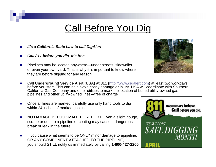#### Call Before You Dig

- Ŀ, *It's a California State Law to call DigAlert*
- P. *Call 811 before you dig. It's free.*
- Pipelines may be located anywhere—under streets, sidewalks or even your own yard. That is why it is important to know where they are before digging for any reason



- Call Underground Service Alert (USA) at 811 (http://www.digalert.com) at least two workdays before you start. This can help avoid costly damage or injury. USA will coordinate with Southern California Gas Company and other utilities to mark the location of buried utility-owned gas pipelines and other utility-owned lines—free of charge
- P. Once all lines are marked, carefully use only hand tools to dig within 24 inches of marked gas lines.
- $\mathcal{L}_{\mathcal{A}}$  NO DAMAGE IS TOO SMALL TO REPORT. Even a slight gouge, scrape or dent to a pipeline or coating may cause a dangerous break or leak in the future.
- If you cause what seems to be ONLY minor damage to apipeline, OR ANY COMPONENT ATTACHED TO THE PIPELINE, you should STILL notify us immediately by calling **1-800-427-2200**